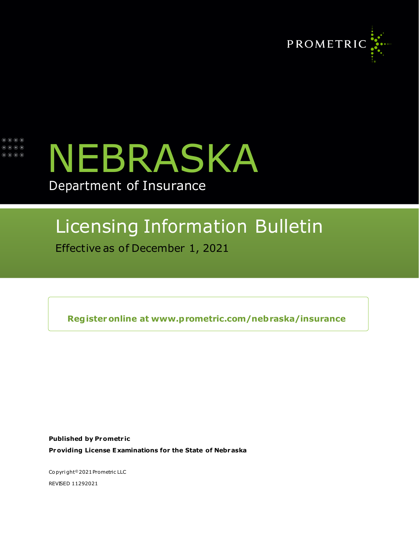

| $\circ\bullet\bullet\bullet$<br>$\circ\bullet\circ\bullet$ | $\circ\bullet\bullet\bullet$ |  |  |
|------------------------------------------------------------|------------------------------|--|--|
|                                                            |                              |  |  |
|                                                            |                              |  |  |



## Department of Insurance

# Licensing Information Bulletin

Effective as of December 1, 2021

**Registeronline at [www.prometric.com/nebraska/insurance](http://www.prometric.com/nebraska/insurance)**

**Published by Prometr ic Providing License Examinations for the State of Nebraska**

Co pyri ght<sup>©</sup> 2021 Prometric LLC REVISED 11292021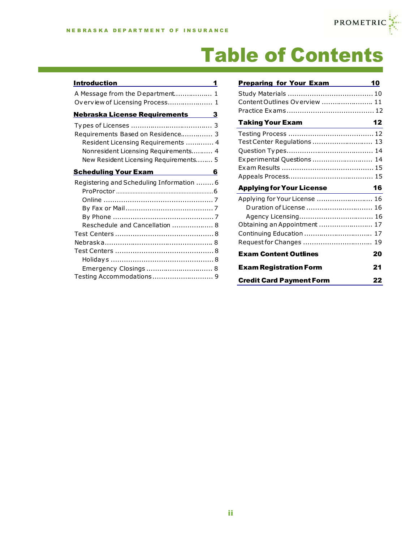**The Community of Community** 



# Table of Contents

| <b>Introduction</b><br>1                                                                                                                                 |
|----------------------------------------------------------------------------------------------------------------------------------------------------------|
| A Message from the Department 1                                                                                                                          |
| Overview of Licensing Process 1                                                                                                                          |
| <b>Nebraska License Requirements</b> 3                                                                                                                   |
| Requirements Based on Residence 3<br>Resident Licensing Requirements  4<br>Nonresident Licensing Requirements 4<br>New Resident Licensing Requirements 5 |
| Scheduling Your Exam<br>6                                                                                                                                |
| Registering and Scheduling Information  6                                                                                                                |
|                                                                                                                                                          |
|                                                                                                                                                          |
|                                                                                                                                                          |
|                                                                                                                                                          |
| Reschedule and Cancellation  8                                                                                                                           |
|                                                                                                                                                          |
|                                                                                                                                                          |
|                                                                                                                                                          |
|                                                                                                                                                          |
| Emergency Closings  8                                                                                                                                    |
| Testing Accommodations 9                                                                                                                                 |

| <b>Preparing for Your Exam</b>   | 10 |
|----------------------------------|----|
|                                  |    |
| Content Outlines Overview  11    |    |
|                                  |    |
| <b>Taking Your Exam</b>          | 12 |
|                                  |    |
| Test Center Regulations  13      |    |
|                                  |    |
| Experimental Questions  14       |    |
|                                  |    |
|                                  |    |
|                                  |    |
| <b>Applying for Your License</b> | 16 |
| Applying for Your License  16    |    |
| Duration of License  16          |    |
|                                  |    |
| Obtaining an Appointment  17     |    |
| Continuing Education  17         |    |
| Request for Changes  19          |    |
| <b>Exam Content Outlines</b>     | 20 |
| <b>Exam Registration Form</b>    | 21 |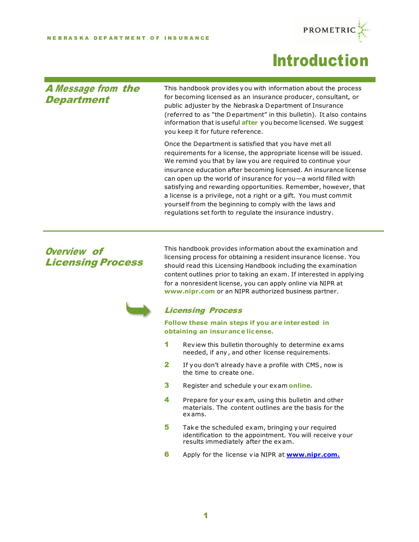

## Introduction

#### A Message from the **Department**

This handbook provides you with information about the process for becoming licensed as an insurance producer, consultant, or public adjuster by the Nebraska Department of Insurance (referred to as "the Department" in this bulletin). It also contains information that is useful **after** you become licensed. We suggest you keep it for future reference.

Once the Department is satisfied that you have met all requirements for a license, the appropriate license will be issued. We remind you that by law you are required to continue your insurance education after becoming licensed. An insurance license can open up the world of insurance for you—a world filled with satisfying and rewarding opportunities. Remember, however, that a license is a privilege, not a right or a gift. You must commit yourself from the beginning to comply with the laws and regulations set forth to regulate the insurance industry.

#### Overview of Licensing Process

This handbook provides information about the examination and licensing process for obtaining a resident insurance license. You should read this Licensing Handbook including the examination content outlines prior to taking an exam. If interested in applying for a nonresident license, you can apply online via NIPR at **[www.nipr.com](http://www.nipr.com/)** or an NIPR authorized business partner.



#### Licensing Process

**Follow these main steps if you are interested in obtaining an insurance license.**

- 1 Review this bulletin thoroughly to determine exams needed, if any, and other license requirements.
- 2 If you don't already have a profile with CMS, now is the time to create one.
- 3 Register and schedule your exam **[online.](http://www.prometric.com/nebraska/insurance)**
- **4** Prepare for your exam, using this bulletin and other materials. The content outlines are the basis for the exams.
- 5 Take the scheduled exam, bringing your required identification to the appointment. You will receive your results immediately after the exam.
- 6 Apply for the license via NIPR at **[www.nipr.com.](http://www.nipr.com./)**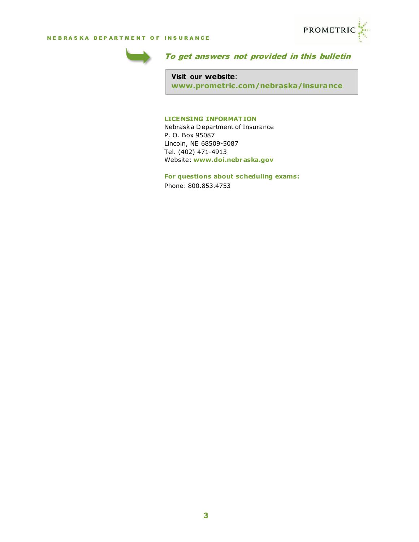



#### To get answers not provided in this bulletin

**Visit our website**: **[www.prometric.com/nebraska/insurance](http://www.prometric.com/nebraska/insurance)**

#### **LICENSING INFORMATION**

Nebraska Department of Insurance P. O. Box 95087 Lincoln, NE 68509-5087 Tel. (402) 471-4913 Website: **[www.doi.nebraska.gov](http://www.doi.nebraska.gov/)**

**For questions about sc heduling exams:** Phone: 800.853.4753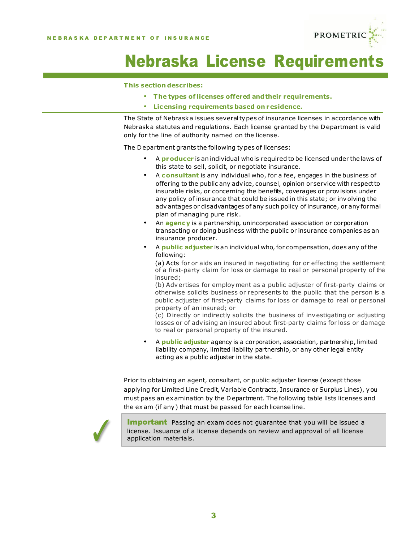

# **Nebraska License Requirement**

#### **This section describes:**

- **The types of licenses offered andtheir requirements.**
- **Licensing requirements based on residence.**

The State of Nebraska issues severaltypes of insurance licenses in accordance with Nebraska statutes and regulations. Each license granted by the Department is valid only for the line of authority named on the license.

The Department grants the following types of licenses:

- <sup>A</sup>**producer** is an individual whois required to be licensed under thelaws of this state to sell, solicit, or negotiate insurance.
- <sup>A</sup>**consultant** is any individual who, for a fee, engages in the business of offering to the public any advice, counsel, opinion orservice with respectto insurable risks, or concerning the benefits, coverages or provisions under any policy of insurance that could be issued in this state; or involving the advantages or disadvantages of any such policy of insurance, or anyformal plan of managing pure risk.
- An **agency** is <sup>a</sup> partnership, unincorporated association or corporation transacting or doing business withthe public or insurance companies as an insurance producer.
- <sup>A</sup>**public adjuster** is an individual who,for compensation, does any ofthe following:

(a) Acts for or aids an insured in negotiating for or effecting the settlement of a first-party claim for loss or damage to real or personal property of the insured;

(b) Advertises for employment as a public adjuster of first-party claims or otherwise solicits business or represents to the public that the person is a public adjuster of first-party claims for loss or damage to real or personal property of an insured; or

(c) Directly or indirectly solicits the business of investigating or adjusting losses or of advising an insured about first-party claims for loss or damage to real or personal property of the insured.

• <sup>A</sup>**public adjuster** agency is a corporation, association, partnership, limited liability company, limited liability partnership, or any other legal entity acting as a public adjuster in the state.

Prior to obtaining an agent, consultant, or public adjuster license (except those applying for Limited Line Credit, Variable Contracts, Insurance or Surplus Lines), you must pass an examination by the Department. The following table lists licenses and the exam (if any) that must be passed for each license line.



**Important** Passing an exam does not quarantee that you will be issued a license. Issuance of a license depends on review and approval of all license application materials.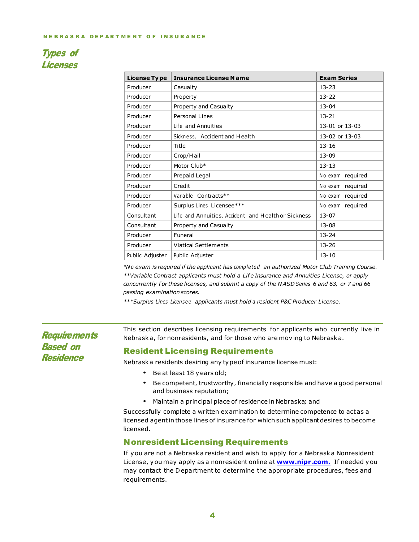#### Types of Licenses

| License Type    | <b>Insurance License Name</b>                       | <b>Exam Series</b> |
|-----------------|-----------------------------------------------------|--------------------|
| Producer        | Casualty                                            | $13 - 23$          |
| Producer        | Property                                            | $13 - 22$          |
| Producer        | Property and Casualty                               | $13 - 04$          |
| Producer        | Personal Lines                                      | $13 - 21$          |
| Producer        | Life and Annuities                                  | 13-01 or 13-03     |
| Producer        | Sickness, Accident and Health                       | 13-02 or 13-03     |
| Producer        | Title                                               | $13 - 16$          |
| Producer        | Crop/Hail                                           | $13 - 09$          |
| Producer        | Motor Club*                                         | $13 - 13$          |
| Producer        | Prepaid Legal                                       | No exam required   |
| Producer        | Credit                                              | No exam required   |
| Producer        | Variable Contracts**                                | No exam required   |
| Producer        | Surplus Lines Licensee***                           | No exam required   |
| Consultant      | Life and Annuities, Accident and Health or Sickness | $13 - 07$          |
| Consultant      | Property and Casualty                               | $13 - 08$          |
| Producer        | Funeral                                             | $13 - 24$          |
| Producer        | <b>Viatical Settlements</b>                         | $13 - 26$          |
| Public Adjuster | Public Adjuster                                     | $13 - 10$          |

*\*N o exam is required if the applicant has comple te d an authorized Motor Club Training Course. \*\*Variable Contract applicants must hold a Life Insurance and Annuities License, or apply*  concurrently for these licenses, and submit a copy of the NASD Series 6 and 63, or 7 and 66 *passing examination scores.*

*\*\*\*Surplus Lines License e applicants must hold a resident P&C Producer License.*

**Requirements** Based on Residence

This section describes licensing requirements for applicants who currently live in Nebraska, for nonresidents, and for those who are moving to Nebraska.

#### Resident Licensing Requirements

Nebraska residents desiring any typeof insurance license must:

- Be at least <sup>18</sup> years old;
- Be competent, trustworthy, financially responsible and have <sup>a</sup> good personal and business reputation;
- Maintain <sup>a</sup> principal place of residence in Nebraska; and

Successfully complete a written examination to determine competence to act as a licensed agentin those lines of insurance for which such applicantdesires to become licensed.

#### **Nonresident Licensing Requirements**

If you are not a Nebraska resident and wish to apply for a Nebraska Nonresident License, you may apply as a nonresident online at **[www.nipr](http://www.nipr.com./) .com.** If needed you may contact the Department to determine the appropriate procedures, fees and requirements.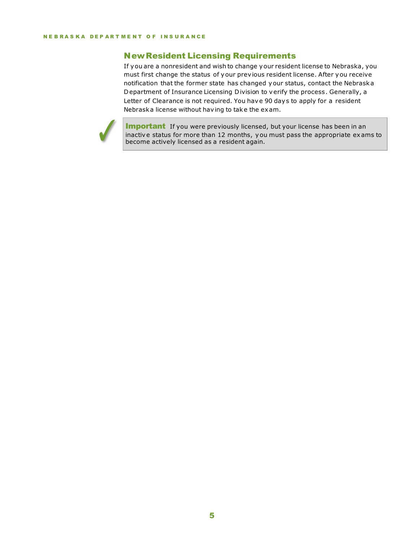#### **New Resident Licensing Requirements**

If you are a nonresident and wish to change your resident license to Nebraska, you must first change the status of your previous resident license. After you receive notification that the former state has changed your status, contact the Nebraska Department of Insurance Licensing Division to verify the process. Generally, a Letter of Clearance is not required. You have 90 days to apply for a resident Nebraska license without having to take the exam.



**Important** If you were previously licensed, but your license has been in an inactive status for more than 12 months, you must pass the appropriate exams to become actively licensed as a resident again.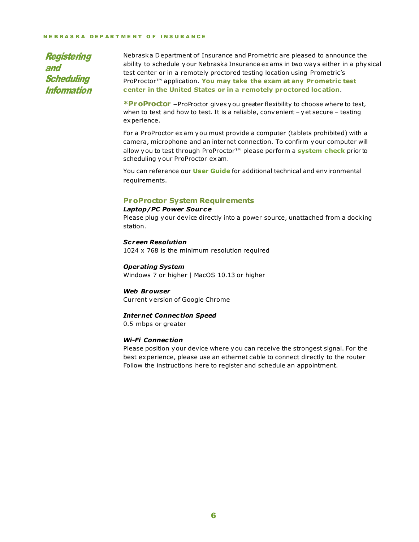#### NEBRASKA DEPARTMENT OF INSURANCE

Registering and **Scheduling** Information

Nebraska Department of Insurance and Prometric are pleased to announce the ability to schedule your Nebraska Insurance exams in two ways either in a physical test center or in a remotely proctored testing location using Prometric's ProProctor™ application. **You may take the exam at any Prometric test center in the United States or in a remotely proctored location**.

**\*ProProctor –**ProProctor gives you greater flexibility to choose where to test, when to test and how to test. It is a reliable, convenient - yet secure - testing experience.

For a ProProctor exam you must provide a computer (tablets prohibited) with a camera, microphone and an internet connection. To confirm your computer will allow you to test through ProProctor™ please perform a **[system](https://rpcandidate.prometric.com/Home/SystemCheck) check** prior to scheduling your ProProctor exam.

You can reference our **User [Guide](http://prometric.com/PrometricProUserGuide)** for additional technical and environmental requirements.

#### **ProProctor System Requirements**

#### *Laptop/PC Power Sour ce*

Please plug your device directly into a power source, unattached from a docking station.

#### *Sc reen Resolution*

1024 x 768 is the minimum resolution required

#### *Operating System*

Windows 7 or higher | MacOS 10.13 or higher

#### *Web Browser* Current version of Google Chrome

#### *Internet Connection Speed*

0.5 mbps or greater

#### *Wi-Fi Connection*

Please position your device where you can receive the strongest signal. For the best experience, please use an ethernet cable to connect directly to the router Follow the instructions here to register and schedule an appointment.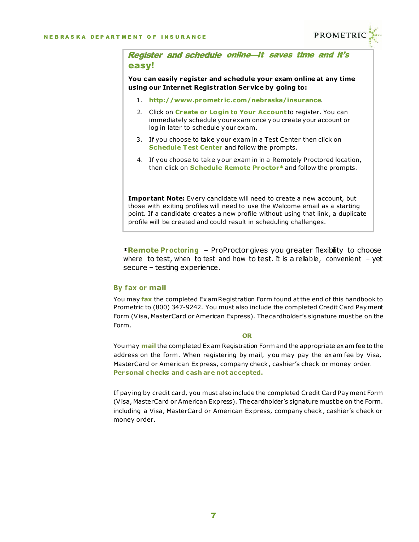

Register and schedule online-it saves time and it's easy!

**You can easily register and sc hedule your exam online at any time using our Internet Registration Service by going to:**

- 1. **http://www.prometr [ic.com/nebraska/insurance](http://www.prometric.com/nebraska/insurance)**.
- 2. Click on **Create or Login to Your Account** to register. You can immediately schedule yourexam once you create your account or log in later to schedule your exam.
- 3. If you choose to take your exam in a Test Center then click on **Schedule Test Center** and follow the prompts.
- 4. If you choose to take your exam in in a Remotely Proctored location, then click on **Schedule Remote Proctor\*** and follow the prompts.

**Impor tant Note:** Every candidate will need to create a new account, but those with exiting profiles will need to use the Welcome email as a starting point. If a candidate creates a new profile without using that link, a duplicate profile will be created and could result in scheduling challenges.

**\*Remote Proctoring –** ProProctor gives you greater flexibility to choose where to test, when to test and how to test. It is a reliable, convenient - yet secure – testing experience.

#### **By fax or mail**

You may **fax** the completed ExamRegistration Form found atthe end of this handbook to Prometric to (800) 347-9242. You must also include the completed Credit Card Payment Form (Visa, MasterCard or American Express). Thecardholder's signature mustbe on the Form.

#### **OR**

You may **mail** the completed Exam Registration Form and the appropriate exam fee to the address on the form. When registering by mail, you may pay the exam fee by Visa, MasterCard or American Express, company check, cashier's check or money order. **Personal checks and cash are not ac cepted.**

If paying by credit card, you must also include the completed Credit Card Payment Form (Visa, MasterCard or American Express). Thecardholder's signature mustbe on the Form. including a Visa, MasterCard or American Express, company check, cashier's check or money order.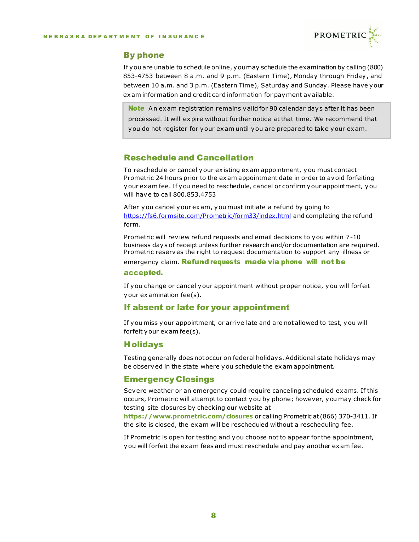

#### By phone

If you are unable to schedule online, youmay schedule the examination by calling (800) 853-4753 between 8 a.m. and 9 p.m. (Eastern Time), Monday through Friday, and between 10 a.m. and 3 p.m. (Eastern Time), Saturday and Sunday. Please have your exam information and credit card information for payment available.

Note An exam registration remains valid for 90 calendar days after it has been processed. It will expire without further notice at that time. We recommend that you do not register for your exam until you are prepared to take your exam.

#### Reschedule and Cancellation

To reschedule or cancel your existing exam appointment, you must contact Prometric 24 hours prior to the exam appointment date in order to avoid forfeiting your exam fee. If you need to reschedule, cancel or confirm your appointment, you will have to call 800.853.4753

After you cancel your exam, you must initiate a refund by going to <https://fs6.formsite.com/Prometric/form33/index.html> and completing the refund form.

Prometric will review refund requests and email decisions to you within 7-10 business days of receipt unless further research and/or documentation are required. Prometric reserves the right to request documentation to support any illness or

emergency claim. **Refund requests made via phone will not be** 

#### accepted.

If you change or cancel your appointment without proper notice, you will forfeit your examination fee(s).

#### If absent or late for your appointment

If you miss your appointment, or arrive late and are not allowed to test, you will forfeit your exam fee(s).

#### **Holidays**

Testing generally does not occur on federal holidays. Additional state holidays may be observed in the state where you schedule the exam appointment.

#### Emergency Closings

Severe weather or an emergency could require canceling scheduled exams. If this occurs, Prometric will attempt to contact you by phone; however, you may check for testing site closures by checking our website at

**<https://www.prometric.com/closures>** or calling Prometric at (866) 370-3411. If the site is closed, the exam will be rescheduled without a rescheduling fee.

If Prometric is open for testing and you choose not to appear for the appointment, you will forfeit the exam fees and must reschedule and pay another exam fee.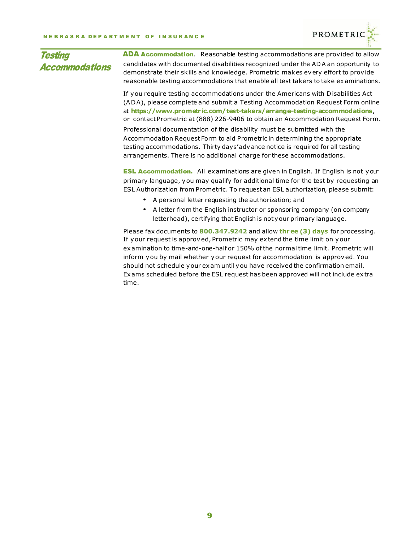

| <b>Testing</b>        | <b>ADA Accommodation.</b> Reasonable testing accommodations are provided to allow                                                                                                                                                                                                                                                                                                                                                                                                         |
|-----------------------|-------------------------------------------------------------------------------------------------------------------------------------------------------------------------------------------------------------------------------------------------------------------------------------------------------------------------------------------------------------------------------------------------------------------------------------------------------------------------------------------|
| <b>Accommodations</b> | candidates with documented disabilities recognized under the ADA an opportunity to<br>demonstrate their skills and knowledge. Prometric makes every effort to provide<br>reasonable testing accommodations that enable all test takers to take examinations.                                                                                                                                                                                                                              |
|                       | If you require testing accommodations under the Americans with Disabilities Act<br>(ADA), please complete and submit a Testing Accommodation Request Form online<br>at https://www.prometric.com/test-takers/arrange-testing-accommodations,<br>or contact Prometric at (888) 226-9406 to obtain an Accommodation Request Form.                                                                                                                                                           |
|                       | Professional documentation of the disability must be submitted with the<br>Accommodation Request Form to aid Prometric in determining the appropriate<br>testing accommodations. Thirty days'adv ance notice is required for all testing<br>arrangements. There is no additional charge for these accommodations.                                                                                                                                                                         |
|                       | <b>ESL Accommodation.</b> All examinations are given in English. If English is not your<br>primary language, you may qualify for additional time for the test by requesting an<br>ESL Authorization from Prometric. To request an ESL authorization, please submit:<br>• A personal letter requesting the authorization; and<br>A letter from the English instructor or sponsoring company (on company<br>$\bullet$<br>letterhead), certifying that English is not your primary language. |
|                       | Please fax documents to 800.347.9242 and allow three (3) days for processing.<br>If your request is approved, Prometric may extend the time limit on your<br>examination to time-and-one-half or 150% of the normal time limit. Prometric will<br>inform usu by mail whather your request for accommodation is annuaved Vou                                                                                                                                                               |

inform you by mail whether your request for accommodation is approved. You should not schedule your exam until you have received the confirmation email. Exams scheduled before the ESL request has been approved will not include extra time.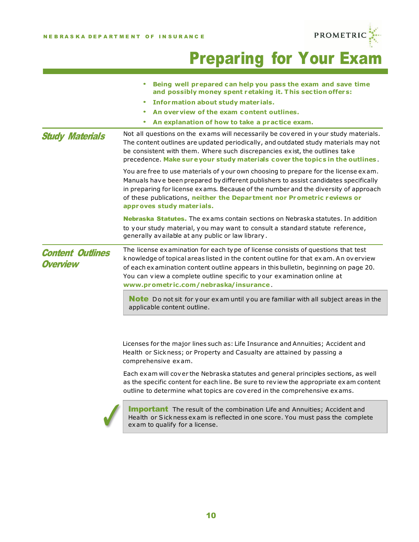

# **PROMETRIC PROMETRIC**

|                                            | Being well prepared can help you pass the exam and save time<br>and possibly money spent retaking it. This section offers:                                                                                                                                                                                                                                                                                                                                                                                                                                                                                        |
|--------------------------------------------|-------------------------------------------------------------------------------------------------------------------------------------------------------------------------------------------------------------------------------------------------------------------------------------------------------------------------------------------------------------------------------------------------------------------------------------------------------------------------------------------------------------------------------------------------------------------------------------------------------------------|
|                                            | Information about study materials.<br>٠                                                                                                                                                                                                                                                                                                                                                                                                                                                                                                                                                                           |
|                                            | An overview of the exam content outlines.                                                                                                                                                                                                                                                                                                                                                                                                                                                                                                                                                                         |
|                                            | An explanation of how to take a practice exam.                                                                                                                                                                                                                                                                                                                                                                                                                                                                                                                                                                    |
| <b>Study Materials</b>                     | Not all questions on the exams will necessarily be covered in your study materials.<br>The content outlines are updated periodically, and outdated study materials may not<br>be consistent with them. Where such discrepancies exist, the outlines take<br>precedence. Make sure your study materials cover the topics in the outlines.                                                                                                                                                                                                                                                                          |
|                                            | You are free to use materials of your own choosing to prepare for the license exam.<br>Manuals have been prepared by different publishers to assist candidates specifically<br>in preparing for license exams. Because of the number and the diversity of approach<br>of these publications, neither the Department nor Prometric reviews or<br>approves study materials.                                                                                                                                                                                                                                         |
|                                            | <b>Nebraska Statutes.</b> The exams contain sections on Nebraska statutes. In addition<br>to your study material, you may want to consult a standard statute reference,<br>generally available at any public or law library.                                                                                                                                                                                                                                                                                                                                                                                      |
| <b>Content Outlines</b><br><b>Overview</b> | The license examination for each type of license consists of questions that test<br>knowledge of topical areas listed in the content outline for that exam. An overview<br>of each examination content outline appears in this bulletin, beginning on page 20.<br>You can view a complete outline specific to your examination online at<br>www.prometric.com/nebraska/insurance.                                                                                                                                                                                                                                 |
|                                            | <b>Note</b> Do not sit for your exam until you are familiar with all subject areas in the<br>applicable content outline.                                                                                                                                                                                                                                                                                                                                                                                                                                                                                          |
|                                            | Licenses for the major lines such as: Life Insurance and Annuities; Accident and<br>Health or Sickness; or Property and Casualty are attained by passing a<br>comprehensive exam.<br>Each exam will cover the Nebraska statutes and general principles sections, as well<br>as the specific content for each line. Be sure to review the appropriate exam content<br>outline to determine what topics are covered in the comprehensive exams.<br><b>Important</b> The result of the combination Life and Annuities; Accident and<br>Health or Sickness exam is reflected in one score. You must pass the complete |
|                                            | exam to qualify for a license.                                                                                                                                                                                                                                                                                                                                                                                                                                                                                                                                                                                    |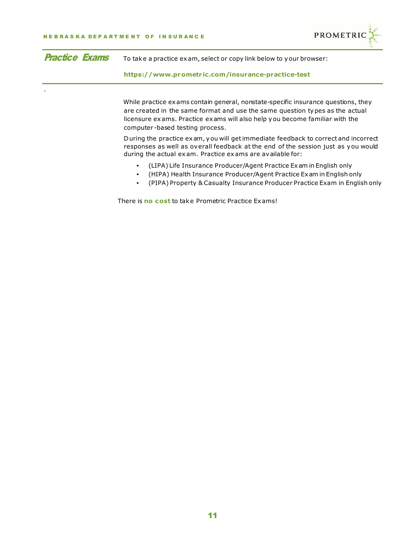.



| <b>Practice Exams</b> | To take a practice exam, select or copy link below to your browser: |
|-----------------------|---------------------------------------------------------------------|
|                       |                                                                     |

**https://www.prometr [ic.com/insurance-practice-test](https://www.prometric.com/insurance-practice-test)**

While practice exams contain general, nonstate-specific insurance questions, they are created in the same format and use the same question types as the actual licensure exams. Practice exams will also help you become familiar with the computer -based testing process.

During the practice exam, you will getimmediate feedback to correct and incorrect responses as well as overall feedback at the end of the session just as you would during the actual exam. Practice exams are available for:

- (LIPA) Life Insurance Producer/Agent Practice Exam in English only
- (HIPA) Health Insurance Producer/Agent Practice Exam in English only
- (PIPA) Property & Casualty Insurance Producer Practice Exam in English only

There is **no cost** to take Prometric Practice Exams!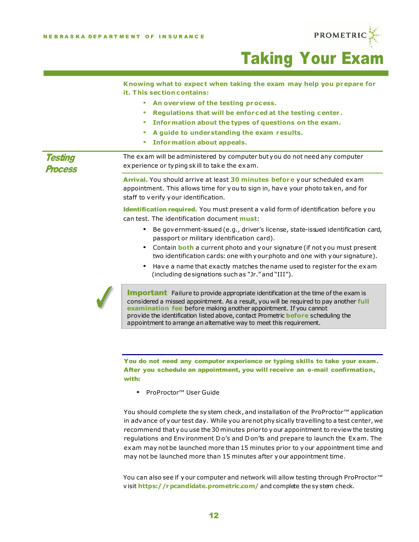

# Taking Your Exam

|                                  | Knowing what to expect when taking the exam may help you prepare for<br>it. This section contains:                                                                                                                                                                                                                                                                                                                        |
|----------------------------------|---------------------------------------------------------------------------------------------------------------------------------------------------------------------------------------------------------------------------------------------------------------------------------------------------------------------------------------------------------------------------------------------------------------------------|
|                                  | An overview of the testing process.<br>$\bullet$<br>Regulations that will be enforced at the testing center.<br>۰<br>Information about the types of questions on the exam.<br>۰<br>A guide to understanding the exam results.<br>۰<br><b>Information about appeals.</b><br>۰                                                                                                                                              |
| <b>Testing</b><br><b>Process</b> | The exam will be administered by computer but you do not need any computer<br>experience or typing skill to take the exam.                                                                                                                                                                                                                                                                                                |
|                                  | Arrival. You should arrive at least 30 minutes before your scheduled exam<br>appointment. This allows time for you to sign in, have your photo taken, and for<br>staff to verify your identification.                                                                                                                                                                                                                     |
|                                  | Identification required. You must present a valid form of identification before you<br>can test. The identification document must:                                                                                                                                                                                                                                                                                        |
|                                  | Be government-issued (e.g., driver's license, state-issued identification card,<br>٠<br>passport or military identification card).                                                                                                                                                                                                                                                                                        |
|                                  | Contain <b>both</b> a current photo and your signature (if not you must present<br>$\bullet$<br>two identification cards: one with yourphoto and one with your signature).                                                                                                                                                                                                                                                |
|                                  | Have a name that exactly matches the name used to register for the exam<br>٠<br>(including designations such as "Jr." and "III").                                                                                                                                                                                                                                                                                         |
|                                  | <b>Important</b> Failure to provide appropriate identification at the time of the exam is<br>considered a missed appointment. As a result, you will be required to pay another full<br>examination fee before making another appointment. If you cannot<br>provide the identification listed above, contact Prometric <b>before</b> scheduling the<br>appointment to arrange an alternative way to meet this requirement. |
|                                  |                                                                                                                                                                                                                                                                                                                                                                                                                           |

You do not need any computer experience or typing skills to take your exam. After you schedule an appointment, you will receive an e-mail confirmation, with:

• ProProctor™ User Guide

You should complete the system check, and installation of the ProProctor<sup>™</sup> application in advance of your test day. While you arenotphysically travelling to a test center, we recommend that you use the30 minutes prior to your appointment to review the testing regulations and Environment Do's and Don'ts and prepare to launch the Exam. The exam may not be launched more than 15 minutes prior to your appointment time and may not be launched more than 15 minutes after your appointment time.

You can also see if your computer and network will allow testing through ProProctor<sup>™</sup> visit **<https://rpcandidate.prometric.com/>** and complete the system check.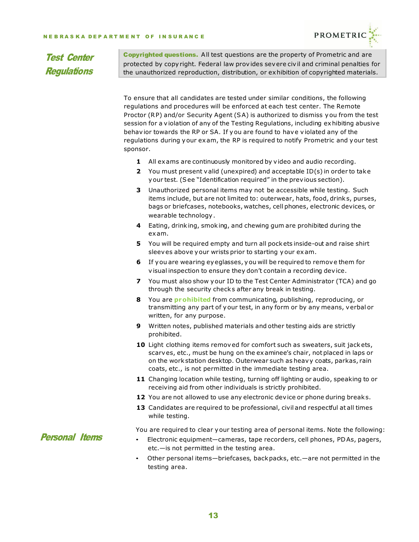

#### Test Center **Regulations**

Copyrighted questions. All test questions are the property of Prometric and are protected by copyright. Federal law provides severe civil and criminal penalties for the unauthorized reproduction, distribution, or exhibition of copyrighted materials.

To ensure that all candidates are tested under similar conditions, the following regulations and procedures will be enforced at each test center. The Remote Proctor (RP) and/or Security Agent (SA) is authorized to dismiss you from the test session for a violation of any of the Testing Regulations, including exhibiting abusive behavior towards the RP or SA. If you are found to have violated any of the regulations during your exam, the RP is required to notify Prometric and your test sponsor.

- **1** All exams are continuously monitored by video and audio recording.
- **2** You must present valid (unexpired) and acceptable ID(s) in order to take your test. (See "Identification required" in the previous section).
- **3** Unauthorized personal items may not be accessible while testing. Such items include, but are not limited to: outerwear, hats, food, drinks, purses, bags or briefcases, notebooks, watches, cell phones, electronic devices, or wearable technology.
- **4** Eating, drinking, smoking, and chewing gum are prohibited during the exam.
- **5** You will be required empty and turn all pockets inside-out and raise shirt sleeves above your wrists prior to starting your exam.
- **6** If you are wearing eyeglasses, you will be required to remove them for visual inspection to ensure they don't contain a recording device.
- **7** You must also show your ID to the Test Center Administrator (TCA) and go through the security checks after any break in testing.
- **8** You are **prohibited** from communicating, publishing, reproducing, or transmitting any part of your test, in any form or by any means, verbal or written, for any purpose.
- **9** Written notes, published materials and other testing aids are strictly prohibited.
- **10** Light clothing items removed for comfort such as sweaters, suit jackets, scarves, etc., must be hung on the examinee's chair, notplaced in laps or on the workstation desktop. Outerwear such as heavy coats, parkas, rain coats, etc., is not permitted in the immediate testing area.
- **11** Changing location while testing, turning off lighting or audio, speaking to or receiving aid from other individuals is strictly prohibited.
- **12** You are not allowed to use any electronic device or phone during breaks.
- **13** Candidates are required to be professional, civil and respectful at all times while testing.

You are required to clear your testing area of personal items. Note the following:

Personal Items

- Electronic equipment—cameras, tape recorders, cell phones, PDAs, pagers, etc.—is not permitted in the testing area.
- Other personal items—briefcases, backpacks, etc.—are not permitted in the testing area.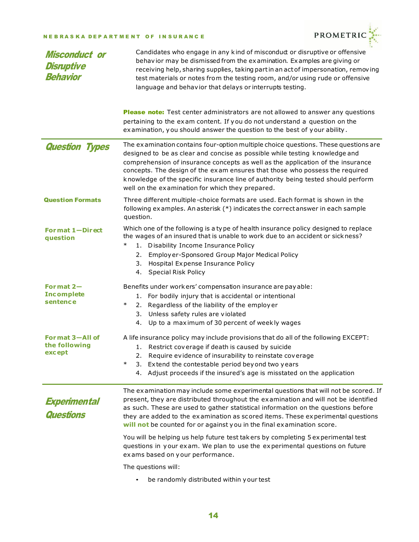#### NEBRASKA DEPARTMENT OF INSURANCE



| <b>Misconduct or</b><br><b>Disruptive</b><br><b>Behavior</b> | Candidates who engage in any kind of miscondud or disruptive or offensive<br>behavior may be dismissed from the examination. Examples are giving or<br>receiving help, sharing supplies, taking part in an act of impersonation, removing<br>test materials or notes from the testing room, and/or using rude or offensive<br>language and behavior that delays or interrupts testing.                                                                                         |
|--------------------------------------------------------------|--------------------------------------------------------------------------------------------------------------------------------------------------------------------------------------------------------------------------------------------------------------------------------------------------------------------------------------------------------------------------------------------------------------------------------------------------------------------------------|
|                                                              | Please note: Test center administrators are not allowed to answer any questions<br>pertaining to the exam content. If you do not understand a question on the<br>examination, you should answer the question to the best of your ability.                                                                                                                                                                                                                                      |
| <b>Question Types</b>                                        | The examination contains four-option multiple choice questions. These questions are<br>designed to be as clear and concise as possible while testing knowledge and<br>comprehension of insurance concepts as well as the application of the insurance<br>concepts. The design of the exam ensures that those who possess the required<br>knowledge of the specific insurance line of authority being tested should perform<br>well on the examination for which they prepared. |
| <b>Question Formats</b>                                      | Three different multiple-choice formats are used. Each format is shown in the<br>following examples. An asterisk (*) indicates the correct answer in each sample<br>question.                                                                                                                                                                                                                                                                                                  |
| Format 1-Direct<br>question                                  | Which one of the following is a type of health insurance policy designed to replace<br>the wages of an insured that is unable to work due to an accident or sickness?<br>$\ast$<br>1. Disability Income Insurance Policy<br>2. Employ er-Sponsored Group Major Medical Policy<br>3. Hospital Expense Insurance Policy<br>4. Special Risk Policy                                                                                                                                |
| Format $2-$<br><b>Incomplete</b><br>sentence                 | Benefits under workers' compensation insurance are pay able:<br>1. For bodily injury that is accidental or intentional<br>2. Regardless of the liability of the employer<br>$\ast$<br>Unless safety rules are violated<br>3.<br>4. Up to a maximum of 30 percent of weekly wages                                                                                                                                                                                               |
| Format 3-All of<br>the following<br>except                   | A life insurance policy may include provisions that do all of the following EXCEPT:<br>1. Restrict coverage if death is caused by suicide<br>Require evidence of insurability to reinstate coverage<br>$\ast$<br>3. Extend the contestable period beyond two years<br>4. Adjust proceeds if the insured's age is misstated on the application                                                                                                                                  |
| Experimental<br><b>Questions</b>                             | The examination may include some experimental questions that will not be scored. If<br>present, they are distributed throughout the examination and will not be identified<br>as such. These are used to gather statistical information on the questions before<br>they are added to the examination as scored items. These experimental questions<br>will not be counted for or against you in the final examination score.                                                   |
|                                                              | You will be helping us help future test takers by completing 5 experimental test<br>questions in your exam. We plan to use the experimental questions on future<br>exams based on your performance.                                                                                                                                                                                                                                                                            |
|                                                              | The questions will:                                                                                                                                                                                                                                                                                                                                                                                                                                                            |
|                                                              | be randomly distributed within your test                                                                                                                                                                                                                                                                                                                                                                                                                                       |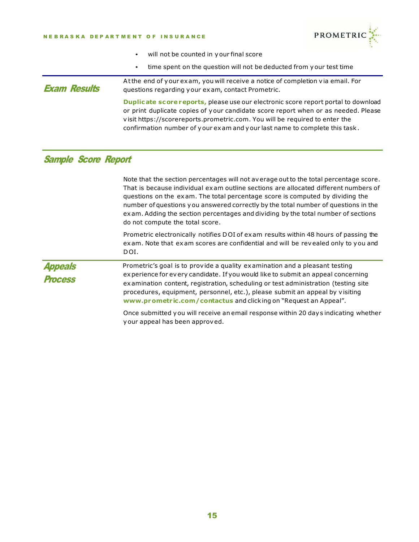#### NEBRASKA DEPARTMENT OF INSURANCE



- will not be counted in your final score
- time spent on the question will not be deducted from your test time

Exam Results Atthe end of your exam, you will receive a notice of completion via email. For questions regarding your exam, contact Prometric. **Duplicate scorereports,** please use our electronic score report portal to download or print duplicate copies of your candidate score report when or as needed. Please visit https://scorereports.prometric.com. You will be required to enter the confirmation number of your exam and your last name to complete this task.

#### Sample Score Report

| Note that the section percentages will not average out to the total percentage score.<br>That is because individual exam outline sections are allocated different numbers of<br>questions on the exam. The total percentage score is computed by dividing the<br>number of questions you answered correctly by the total number of questions in the<br>exam. Adding the section percentages and dividing by the total number of sections<br>do not compute the total score.                                                        |
|------------------------------------------------------------------------------------------------------------------------------------------------------------------------------------------------------------------------------------------------------------------------------------------------------------------------------------------------------------------------------------------------------------------------------------------------------------------------------------------------------------------------------------|
| Prometric electronically notifies DOI of exam results within 48 hours of passing the<br>exam. Note that exam scores are confidential and will be revealed only to you and<br>DOI.                                                                                                                                                                                                                                                                                                                                                  |
| Prometric's goal is to provide a quality examination and a pleasant testing<br>experience for every candidate. If you would like to submit an appeal concerning<br>examination content, registration, scheduling or test administration (testing site<br>procedures, equipment, personnel, etc.), please submit an appeal by visiting<br>www.prometric.com/contactus and clicking on "Request an Appeal".<br>Once submitted you will receive an email response within 20 days indicating whether<br>your appeal has been approved. |
|                                                                                                                                                                                                                                                                                                                                                                                                                                                                                                                                    |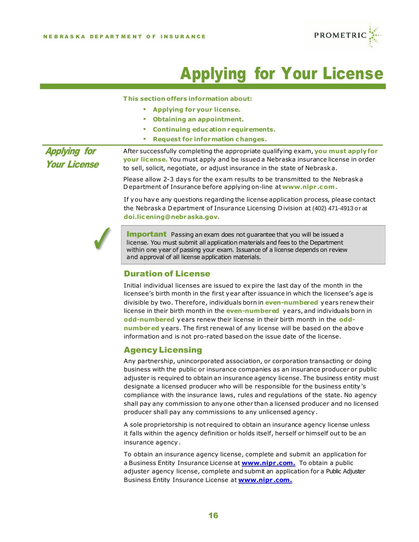

# Applying for Your License

**This section offers information about:**

- **Applying for your license.**
- **Obtaining an appointment.**
- **Continuing education requirements.**
- **Request for information changes.**

Applying for Your License After successfully completing the appropriate qualifying exam, **you must apply for your license.** You must apply and be issued a Nebraska insurance license in order to sell, solicit, negotiate, or adjust insurance in the state of Nebraska.

> Please allow 2-3 days for the exam results to be transmitted to the Nebraska Department of Insurance before applying on-line at**[www.nipr](http://www.nipr.com/) .com.**

If you have any questions regarding the license application process, please contact the Nebraska Department of Insurance Licensing Division at (402) 471-4913 or at **[doi.licening@nebraska.gov](mailto:doi.licening@nebraska.gov).**



**Important** Passing an exam does not quarantee that you will be issued a license. You must submit all application materials and fees to the Department within one year of passing your exam. Issuance of a license depends on review and approval of all license application materials.

#### Duration of License

Initial individual licenses are issued to expire the last day of the month in the licensee's birth month in the first year after issuance in which the licensee's age is divisible by two. Therefore, individuals born in **even-numbered** years renew their license in their birth month in the **even-numbered** years, and individuals born in **odd-numbered** years renew their license in their birth month in the **oddnumbered** years. The first renewal of any license will be based on the above information and is not pro-rated based on the issue date of the license.

#### Agency Licensing

Any partnership, unincorporated association, or corporation transacting or doing business with the public or insurance companies as an insurance producer or public adjuster is required to obtain an insurance agency license. The business entity must designate a licensed producer who will be responsible for the business entity's compliance with the insurance laws, rules and regulations of the state. No agency shall pay any commission to anyone other than a licensed producer and no licensed producer shall pay any commissions to any unlicensed agency.

A sole proprietorship is not required to obtain an insurance agency license unless it falls within the agency definition or holds itself, herself or himself out to be an insurance agency.

To obtain an insurance agency license, complete and submit an application for a Business Entity Insurance License at **[www.nipr](http://www.nipr.com./) .com.** To obtain a public adjuster agency license, complete and submit an application for a Public Adjuster Business Entity Insurance License at **[www.nipr](http://www.nipr.com./) .com.**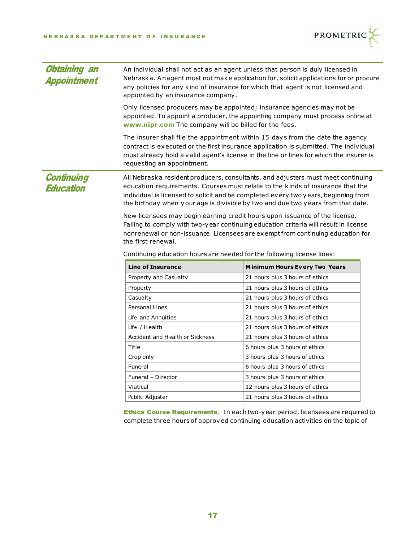

| <b>Obtaining an</b><br>An individual shall not act as an agent unless that person is duly licensed in<br>Nebraska. Anagent must not make application for, solicit applications for or procure<br><b>Appointment</b><br>any policies for any kind of insurance for which that agent is not licensed and<br>appointed by an insurance company.         |                                                                                                                                  |                                                                                                                                                                                                                                                                                                                                              |  |
|------------------------------------------------------------------------------------------------------------------------------------------------------------------------------------------------------------------------------------------------------------------------------------------------------------------------------------------------------|----------------------------------------------------------------------------------------------------------------------------------|----------------------------------------------------------------------------------------------------------------------------------------------------------------------------------------------------------------------------------------------------------------------------------------------------------------------------------------------|--|
|                                                                                                                                                                                                                                                                                                                                                      | Only licensed producers may be appointed; insurance agencies may not be<br>www.nipr.com The company will be billed for the fees. | appointed. To appoint a producer, the appointing company must process online at                                                                                                                                                                                                                                                              |  |
|                                                                                                                                                                                                                                                                                                                                                      | requesting an appointment.                                                                                                       | The insurer shall file the appointment within 15 days from the date the agency<br>contract is executed or the first insurance application is submitted. The individual<br>must already hold a valid agent's license in the line or lines for which the insurer is                                                                            |  |
| <b>Continuing</b><br>Education                                                                                                                                                                                                                                                                                                                       |                                                                                                                                  | All Nebraska resident producers, consultants, and adjusters must meet continuing<br>education requirements. Courses must relate to the kinds of insurance that the<br>individual is licensed to solicit and be completed every two years, beginning from<br>the birthday when your age is divisible by two and due two years from that date. |  |
| New licensees may begin earning credit hours upon issuance of the license.<br>Failing to comply with two-year continuing education criteria will result in license<br>nonrenewal or non-issuance. Licensees are exempt from continuing education for<br>the first renewal.<br>Continuing education hours are needed for the following license lines: |                                                                                                                                  |                                                                                                                                                                                                                                                                                                                                              |  |
|                                                                                                                                                                                                                                                                                                                                                      | <b>Line of Insurance</b>                                                                                                         | <b>Minimum Hours Every Two Years</b>                                                                                                                                                                                                                                                                                                         |  |
|                                                                                                                                                                                                                                                                                                                                                      | Property and Casualty                                                                                                            | 21 hours plus 3 hours of ethics                                                                                                                                                                                                                                                                                                              |  |
|                                                                                                                                                                                                                                                                                                                                                      | Property                                                                                                                         | 21 hours plus 3 hours of ethics                                                                                                                                                                                                                                                                                                              |  |
|                                                                                                                                                                                                                                                                                                                                                      | Casualty                                                                                                                         | 21 hours plus 3 hours of ethics                                                                                                                                                                                                                                                                                                              |  |
|                                                                                                                                                                                                                                                                                                                                                      | <b>Personal Lines</b>                                                                                                            | 21 hours plus 3 hours of ethics                                                                                                                                                                                                                                                                                                              |  |
|                                                                                                                                                                                                                                                                                                                                                      | Life and Annuities                                                                                                               | 21 hours plus 3 hours of ethics                                                                                                                                                                                                                                                                                                              |  |
|                                                                                                                                                                                                                                                                                                                                                      | Life / Health                                                                                                                    | 21 hours plus 3 hours of ethics                                                                                                                                                                                                                                                                                                              |  |
|                                                                                                                                                                                                                                                                                                                                                      | Accident and Health or Sickness                                                                                                  | 21 hours plus 3 hours of ethics                                                                                                                                                                                                                                                                                                              |  |
|                                                                                                                                                                                                                                                                                                                                                      | Title                                                                                                                            | 6 hours plus 3 hours of ethics                                                                                                                                                                                                                                                                                                               |  |
|                                                                                                                                                                                                                                                                                                                                                      | Crop only                                                                                                                        | 3 hours plus 3 hours of ethics                                                                                                                                                                                                                                                                                                               |  |
|                                                                                                                                                                                                                                                                                                                                                      | Funeral                                                                                                                          | 6 hours plus 3 hours of ethics                                                                                                                                                                                                                                                                                                               |  |
|                                                                                                                                                                                                                                                                                                                                                      | Funeral - Director                                                                                                               | 3 hours plus 3 hours of ethics                                                                                                                                                                                                                                                                                                               |  |
|                                                                                                                                                                                                                                                                                                                                                      | Viatical                                                                                                                         | 12 hours plus 3 hours of ethics                                                                                                                                                                                                                                                                                                              |  |
|                                                                                                                                                                                                                                                                                                                                                      | Public Adjuster                                                                                                                  | 21 hours plus 3 hours of ethics                                                                                                                                                                                                                                                                                                              |  |

Ethics Course Requirements. In each two-year period, licensees are required to complete three hours of approved continuing education activities on the topic of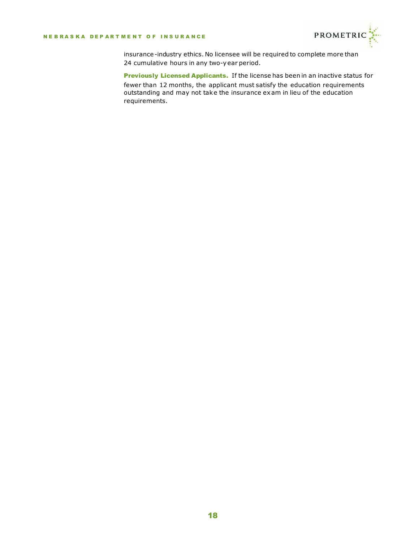

insurance-industry ethics. No licensee will be required to complete more than 24 cumulative hours in any two-year period.

Previously Licensed Applicants. If the license has been in an inactive status for fewer than 12 months, the applicant must satisfy the education requirements outstanding and may not take the insurance exam in lieu of the education requirements.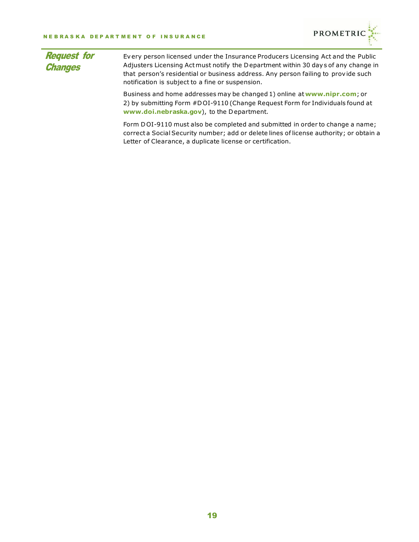

| <b>Request for</b><br><b>Changes</b> | Every person licensed under the Insurance Producers Licensing Act and the Public<br>Adjusters Licensing Act must notify the Department within 30 days of any change in<br>that person's residential or business address. Any person failing to provide such<br>notification is subject to a fine or suspension. |
|--------------------------------------|-----------------------------------------------------------------------------------------------------------------------------------------------------------------------------------------------------------------------------------------------------------------------------------------------------------------|
|                                      | Business and home addresses may be changed 1) online at www.nipr.com; or<br>2) by submitting Form #DOI-9110 (Change Request Form for Individuals found at<br>www.doi.nebraska.gov), to the Department.                                                                                                          |
|                                      | Form DOI-9110 must also be completed and submitted in order to change a name;<br>correct a Social Security number; add or delete lines of license authority; or obtain a<br>Letter of Clearance, a duplicate license or certification.                                                                          |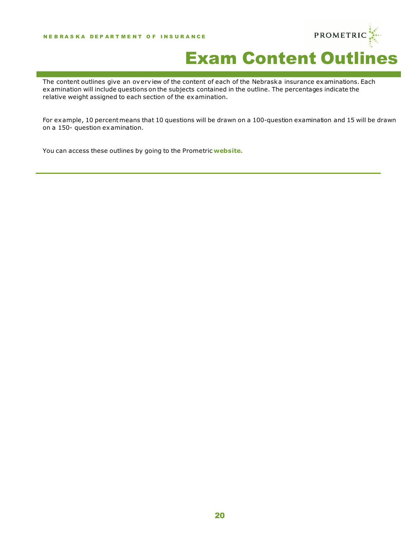

# Exam Content Outlines

The content outlines give an overview of the content of each of the Nebraska insurance examinations. Each examination will include questions on the subjects contained in the outline. The percentages indicate the relative weight assigned to each section of the examination.

For example, 10 percentmeans that 10 questions will be drawn on a 100-question examination and 15 will be drawn on a 150- question examination.

You can access these outlines by going to the Prometric **[website.](http://www.prometric.com/nebraska/insurance)**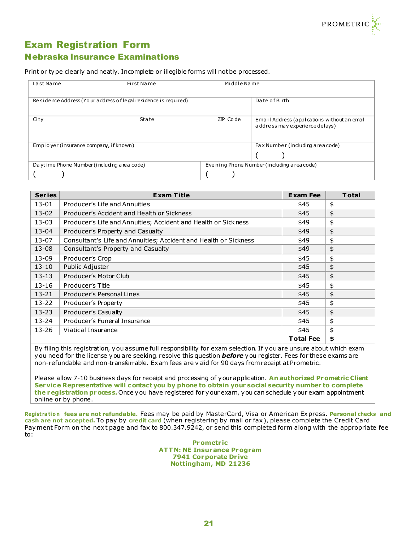

#### Exam Registration Form Nebraska Insurance Examinations

Print or type clearly and neatly. Incomplete or illegible forms will notbe processed.

| La st Name                                                      | First Name | Middle Name                                  |                                                                                  |
|-----------------------------------------------------------------|------------|----------------------------------------------|----------------------------------------------------------------------------------|
| Residence Address (Your address of legal residence is required) |            |                                              | Da te of Birth                                                                   |
| City                                                            | State      | ZP Code                                      | Email Address (applications without an email<br>a ddre ss may experience delays) |
| Employer (insurance company, if known)                          |            |                                              | Fax Number (including a rea code)                                                |
| Da yti me Phone Number (i ncluding a rea code)                  |            | Eve ning Phone Number (including a rea code) |                                                                                  |
|                                                                 |            |                                              |                                                                                  |

| <b>Series</b> | <b>Exam Title</b>                                                | <b>Exam Fee</b>  | <b>Total</b> |  |
|---------------|------------------------------------------------------------------|------------------|--------------|--|
| 13-01         | Producer's Life and Annuities                                    | \$45             | \$           |  |
| $13 - 02$     | Producer's Accident and Health or Sickness                       | \$45             | \$           |  |
| $13 - 03$     | Producer's Life and Annuities; Accident and Health or Sickness   | \$49             | \$           |  |
| $13 - 04$     | Producer's Property and Casualty                                 | \$49             | \$           |  |
| $13 - 07$     | Consultant's Life and Annuities; Accident and Health or Sickness | \$49             | \$           |  |
| 13-08         | Consultant's Property and Casualty                               | \$49             | \$           |  |
| 13-09         | Producer's Crop                                                  | \$45             | \$           |  |
| $13 - 10$     | Public Adjuster                                                  | \$45             | \$           |  |
| $13 - 13$     | Producer's Motor Club                                            | \$45             | \$           |  |
| $13 - 16$     | Producer's Title<br>\$45<br>\$                                   |                  |              |  |
| $13 - 21$     | Producer's Personal Lines                                        | \$45             | \$           |  |
| $13 - 22$     | Producer's Property                                              | \$45             | \$           |  |
| $13 - 23$     | Producer's Casualty                                              | \$45             | \$           |  |
| $13 - 24$     | Producer's Funeral Insurance                                     |                  | \$           |  |
| 13-26         | Viatical Insurance                                               |                  | \$           |  |
|               |                                                                  | <b>Total Fee</b> | \$           |  |

By filing this registration, you assume full responsibility for exam selection. If you are unsure about which exam you need for the license you are seeking, resolve this question *before* you register. Fees for these exams are non-refundable and non-transferrable. Exam fees are valid for 90 days fromreceipt at Prometric.

Please allow 7-10 business days for receipt and processing of yourapplication. **An authorized Prometric Client Service Representative will contact you by phone to obtain your social security number to complete the registration process.** Once you have registered for your exam, you can schedule your exam appointment online or by phone.

**Regist ra tio n fees are not refundable.** Fees may be paid by MasterCard, Visa or American Express. **Personal checks and cash are not accepted.** To pay by **credit card** (when registering by mail or fax), please complete the Credit Card Payment Form on the next page and fax to 800.347.9242, or send this completed form along with the appropriate fee to:

> **Prometr ic ATTN: NE Insurance Program 7941 Corporate Dr ive Nottingham, MD 21236**